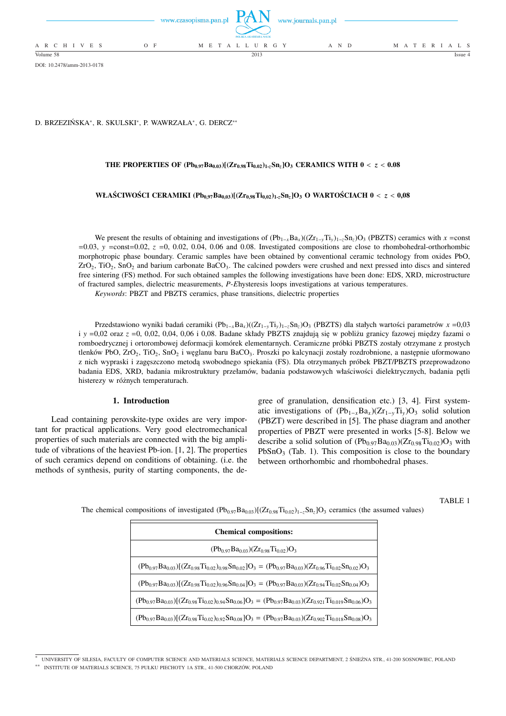|                          | www.czasopisma.pan.pl<br>POLSKA AKADEMIA NAUK | www.journals.pan.pl |                   |
|--------------------------|-----------------------------------------------|---------------------|-------------------|
| A R C H I V E S<br>$O$ F | M E T A L L U R G Y                           | A N D               | M A T E R I A L S |
| Volume 58                | 2013                                          |                     | Issue 4           |

DOI: 10.2478/amm-2013-0178

D. BRZEZIŃSKA\*, R. SKULSKI\*, P. WAWRZAŁA\*, G. DERCZ\*\*

# **THE PROPERTIES OF**  $(Ph_{0.97}Ba_{0.03})[(Zr_{0.98}Ti_{0.02})_{1.7}Sn_{2}]O_{3}$  **<b>CERAMICS WITH 0** < *z* < 0.08

# **WŁAŚCIWOŚCI CERAMIKI (Pb0,97Ba0,03)[(Zr0,98Ti0,02)1-***z***Sn***z***]O<sup>3</sup> O WARTOŚCIACH 0** < *z* < **0,08**

We present the results of obtaining and investigations of  $(Pb_{1-x}Ba_x)((Zr_{1-y}Ti_y)_{1-z}Sn_z)O_3$  (PBZTS) ceramics with *x* =const  $=0.03$ ,  $y = const = 0.02$ ,  $z = 0$ , 0.02, 0.04, 0.06 and 0.08. Investigated compositions are close to rhombohedral-orthorhombic morphotropic phase boundary. Ceramic samples have been obtained by conventional ceramic technology from oxides PbO,  $ZrO<sub>2</sub>$ , TiO<sub>2</sub>, SnO<sub>2</sub> and barium carbonate BaCO<sub>3</sub>. The calcined powders were crushed and next pressed into discs and sintered free sintering (FS) method. For such obtained samples the following investigations have been done: EDS, XRD, microstructure of fractured samples, dielectric measurements, *P*-*E*hysteresis loops investigations at various temperatures.

*Keywords*: PBZT and PBZTS ceramics, phase transitions, dielectric properties

Przedstawiono wyniki badań ceramiki (Pb1−*x*Ba*<sup>x</sup>* )((Zr1−*y*Ti*y*)1−*z*Sn*z*)O<sup>3</sup> (PBZTS) dla stałych wartości parametrów *x* =0,03 i *y* =0,02 oraz *z* =0, 0,02, 0,04, 0,06 i 0,08. Badane składy PBZTS znajdują się w pobliżu granicy fazowej między fazami o romboedrycznej i ortorombowej deformacji komórek elementarnych. Ceramiczne próbki PBZTS zostały otrzymane z prostych tlenków PbO, ZrO<sub>2</sub>, TiO<sub>2</sub>, SnO<sub>2</sub> i węglanu baru BaCO<sub>3</sub>. Proszki po kalcynacji zostały rozdrobnione, a następnie uformowano z nich wypraski i zagęszczono metodą swobodnego spiekania (FS). Dla otrzymanych próbek PBZT/PBZTS przeprowadzono badania EDS, XRD, badania mikrostruktury przełamów, badania podstawowych właściwości dielektrycznych, badania pętli histerezy w różnych temperaturach.

#### **1. Introduction**

Lead containing perovskite-type oxides are very important for practical applications. Very good electromechanical properties of such materials are connected with the big amplitude of vibrations of the heaviest Pb-ion. [1, 2]. The properties of such ceramics depend on conditions of obtaining. (i.e. the methods of synthesis, purity of starting components, the degree of granulation, densification etc.) [3, 4]. First systematic investigations of  $(Pb_{1-x}Ba_x)(Zr_{1-y}Ti_y)O_3$  solid solution (PBZT) were described in [5]. The phase diagram and another properties of PBZT were presented in works [5-8]. Below we describe a solid solution of  $(Pb_{0.97}Ba_{0.03})(Zr_{0.98}Ti_{0.02})O_3$  with  $PbSnO<sub>3</sub>$  (Tab. 1). This composition is close to the boundary between orthorhombic and rhombohedral phases.

### TABLE 1

The chemical compositions of investigated  $(Pb_{0.97}Ba_{0.03})[(Zr_{0.98}Ti_{0.02})_{1-z}Sn_{z}]O_3$  ceramics (the assumed values)

| <b>Chemical compositions:</b>                                                                                            |  |  |  |  |
|--------------------------------------------------------------------------------------------------------------------------|--|--|--|--|
| $(Pb_097Ba_003)(Zr_098Ti_002)O_3$                                                                                        |  |  |  |  |
| $(Pb_{0.97}Ba_{0.03})[(Zr_{0.98}Ti_{0.02})_{0.98}Sn_{0.02}]O_3 = (Pb_{0.97}Ba_{0.03})(Zr_{0.96}Ti_{0.02}Sn_{0.02})O_3$   |  |  |  |  |
| $(Pb_{0.97}Ba_{0.03})[(Zr_{0.98}Ti_{0.02})_{0.96}Sn_{0.04}]O_3 = (Pb_{0.97}Ba_{0.03})(Zr_{0.94}Ti_{0.02}Sn_{0.04})O_3$   |  |  |  |  |
| $(Pb_{0.97}Ba_{0.03})[(Zr_{0.98}Ti_{0.02})_{0.94}Sn_{0.06}]O_3 = (Pb_{0.97}Ba_{0.03})(Zr_{0.921}Ti_{0.019}Sn_{0.06})O_3$ |  |  |  |  |
| $(Pb_{0.97}Ba_{0.03})[(Zr_{0.98}Ti_{0.02})_{0.92}Sn_{0.08}]O_3 = (Pb_{0.97}Ba_{0.03})(Zr_{0.902}Ti_{0.018}Sn_{0.08})O_3$ |  |  |  |  |

<sup>∗</sup> UNIVERSITY OF SILESIA, FACULTY OF COMPUTER SCIENCE AND MATERIALS SCIENCE, MATERIALS SCIENCE DEPARTMENT, 2 ŚNIEŻNA STR., 41-200 SOSNOWIEC, POLAND

<sup>∗∗</sup> INSTITUTE OF MATERIALS SCIENCE, 75 PUŁKU PIECHOTY 1A STR., 41-500 CHORZÓW, POLAND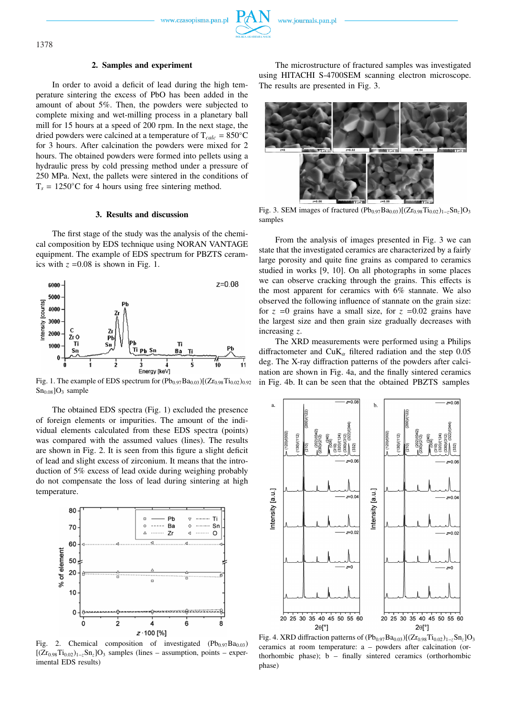www.czasopisma.pan.pl

#### **2. Samples and experiment**

In order to avoid a deficit of lead during the high temperature sintering the excess of PbO has been added in the amount of about 5%. Then, the powders were subjected to complete mixing and wet-milling process in a planetary ball mill for 15 hours at a speed of 200 rpm. In the next stage, the dried powders were calcined at a temperature of  $T_{calc} = 850°C$ for 3 hours. After calcination the powders were mixed for 2 hours. The obtained powders were formed into pellets using a hydraulic press by cold pressing method under a pressure of 250 MPa. Next, the pallets were sintered in the conditions of  $T_s = 1250\degree C$  for 4 hours using free sintering method.

## **3. Results and discussion**

The first stage of the study was the analysis of the chemical composition by EDS technique using NORAN VANTAGE equipment. The example of EDS spectrum for PBZTS ceramics with  $z = 0.08$  is shown in Fig. 1.



Fig. 1. The example of EDS spectrum for  $(Pb_{0.97}Ba_{0.03})[(Zr_{0.98}Ti_{0.02})_{0.92}]$  $Sn<sub>0.08</sub>$ ]O<sub>3</sub> sample

The obtained EDS spectra (Fig. 1) excluded the presence of foreign elements or impurities. The amount of the individual elements calculated from these EDS spectra (points) was compared with the assumed values (lines). The results are shown in Fig. 2. It is seen from this figure a slight deficit of lead and slight excess of zirconium. It means that the introduction of 5% excess of lead oxide during weighing probably do not compensate the loss of lead during sintering at high temperature.



Fig. 2. Chemical composition of investigated  $(Pb_{0.97}Ba_{0.03})$ [(Zr<sub>0.98</sub>Ti<sub>0.02</sub>)<sub>1−*z*</sub>Sn<sub>*z*</sub>]O<sub>3</sub> samples (lines – assumption, points – experimental EDS results)

The microstructure of fractured samples was investigated using HITACHI S-4700SEM scanning electron microscope. The results are presented in Fig. 3.

Fig. 3. SEM images of fractured  $(Pb_{0.97}Ba_{0.03})[(Zr_{0.98}Ti_{0.02})_{1-z}Sn_{z}]O_{3}$ samples

From the analysis of images presented in Fig. 3 we can state that the investigated ceramics are characterized by a fairly large porosity and quite fine grains as compared to ceramics studied in works [9, 10]. On all photographs in some places we can observe cracking through the grains. This effects is the most apparent for ceramics with 6% stannate. We also observed the following influence of stannate on the grain size: for  $z = 0$  grains have a small size, for  $z = 0.02$  grains have the largest size and then grain size gradually decreases with increasing *z*.

The XRD measurements were performed using a Philips diffractometer and CuK<sub>α</sub> filtered radiation and the step 0.05 deg. The X-ray diffraction patterns of the powders after calcination are shown in Fig. 4a, and the finally sintered ceramics in Fig. 4b. It can be seen that the obtained PBZTS samples



Fig. 4. XRD diffraction patterns of (Pb0.97Ba0.03)[(Zr0.98Ti0.02)1−*z*Sn*z*]O<sup>3</sup> ceramics at room temperature: a – powders after calcination (orthorhombic phase); b – finally sintered ceramics (orthorhombic phase)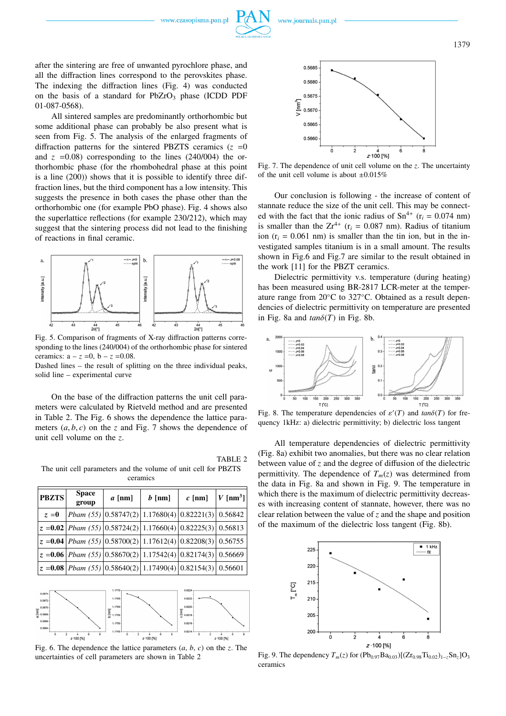



after the sintering are free of unwanted pyrochlore phase, and all the diffraction lines correspond to the perovskites phase. The indexing the diffraction lines (Fig. 4) was conducted on the basis of a standard for  $PbZrO<sub>3</sub>$  phase (ICDD PDF 01-087-0568).

All sintered samples are predominantly orthorhombic but some additional phase can probably be also present what is seen from Fig. 5. The analysis of the enlarged fragments of diffraction patterns for the sintered PBZTS ceramics  $(z = 0$ and  $z = 0.08$ ) corresponding to the lines (240/004) the orthorhombic phase (for the rhombohedral phase at this point is a line (200)) shows that it is possible to identify three diffraction lines, but the third component has a low intensity. This suggests the presence in both cases the phase other than the orthorhombic one (for example PbO phase). Fig. 4 shows also the superlattice reflections (for example 230/212), which may suggest that the sintering process did not lead to the finishing of reactions in final ceramic.



Fig. 5. Comparison of fragments of X-ray diffraction patterns corresponding to the lines (240/004) of the orthorhombic phase for sintered ceramics:  $a - z = 0$ ,  $b - z = 0.08$ . Dashed lines – the result of splitting on the three individual peaks,

solid line – experimental curve

On the base of the diffraction patterns the unit cell parameters were calculated by Rietveld method and are presented in Table 2. The Fig. 6 shows the dependence the lattice parameters  $(a, b, c)$  on the *z* and Fig. 7 shows the dependence of unit cell volume on the *z*.

TABLE 2 The unit cell parameters and the volume of unit cell for PBZTS ceramics

| <b>PBZTS</b> | <b>Space</b><br>group | $a$ [nm]                                                                                        | $b$ [nm] | $c$ [nm] | $V$ [nm <sup>3</sup> ] |
|--------------|-----------------------|-------------------------------------------------------------------------------------------------|----------|----------|------------------------|
| $z = 0$      |                       | Pbam (55) $\left  0.58747(2) \right  1.17680(4) \left  0.82221(3) \right  0.56842$              |          |          |                        |
|              |                       | $z = 0.02$ Pbam (55) $ 0.58724(2) 1.17660(4) 0.82225(3) 0.56813$                                |          |          |                        |
|              |                       | $z = 0.04$ Pbam (55) $\left  0.58700(2) \right  1.17612(4)$ $\left  0.82208(3) \right  0.56755$ |          |          |                        |
|              |                       | $z = 0.06$ Pbam (55) $ 0.58670(2) 1.17542(4) 0.82174(3) 0.56669$                                |          |          |                        |
|              |                       | $z = 0.08$ Pbam (55) 0.58640(2) 1.17490(4) 0.82154(3) 0.56601                                   |          |          |                        |



Fig. 6. The dependence the lattice parameters (*a*, *b*, *c*) on the *z*. The uncertainties of cell parameters are shown in Table 2



Fig. 7. The dependence of unit cell volume on the *z*. The uncertainty of the unit cell volume is about  $\pm 0.015\%$ 

Our conclusion is following - the increase of content of stannate reduce the size of the unit cell. This may be connected with the fact that the ionic radius of  $Sn^{4+}$  ( $r_i = 0.074$  nm) is smaller than the  $Zr^{4+}$  ( $r_i = 0.087$  nm). Radius of titanium ion  $(r_i = 0.061$  nm) is smaller than the tin ion, but in the investigated samples titanium is in a small amount. The results shown in Fig.6 and Fig.7 are similar to the result obtained in the work [11] for the PBZT ceramics.

Dielectric permittivity v.s. temperature (during heating) has been measured using BR-2817 LCR-meter at the temperature range from 20◦C to 327◦C. Obtained as a result dependencies of dielectric permittivity on temperature are presented in Fig. 8a and  $tan\delta(T)$  in Fig. 8b.



Fig. 8. The temperature dependencies of  $\varepsilon'(T)$  and  $tan\delta(T)$  for frequency 1kHz: a) dielectric permittivity; b) dielectric loss tangent

All temperature dependencies of dielectric permittivity (Fig. 8a) exhibit two anomalies, but there was no clear relation between value of *z* and the degree of diffusion of the dielectric permittivity. The dependence of  $T_m(z)$  was determined from the data in Fig. 8a and shown in Fig. 9. The temperature in which there is the maximum of dielectric permittivity decreases with increasing content of stannate, however, there was no clear relation between the value of *z* and the shape and position of the maximum of the dielectric loss tangent (Fig. 8b).



Fig. 9. The dependency  $T_m(z)$  for  $(Pb_{0.97}Ba_{0.03})[(Zr_{0.98}Ti_{0.02})_{1-z}Sn_z]O_3$ ceramics